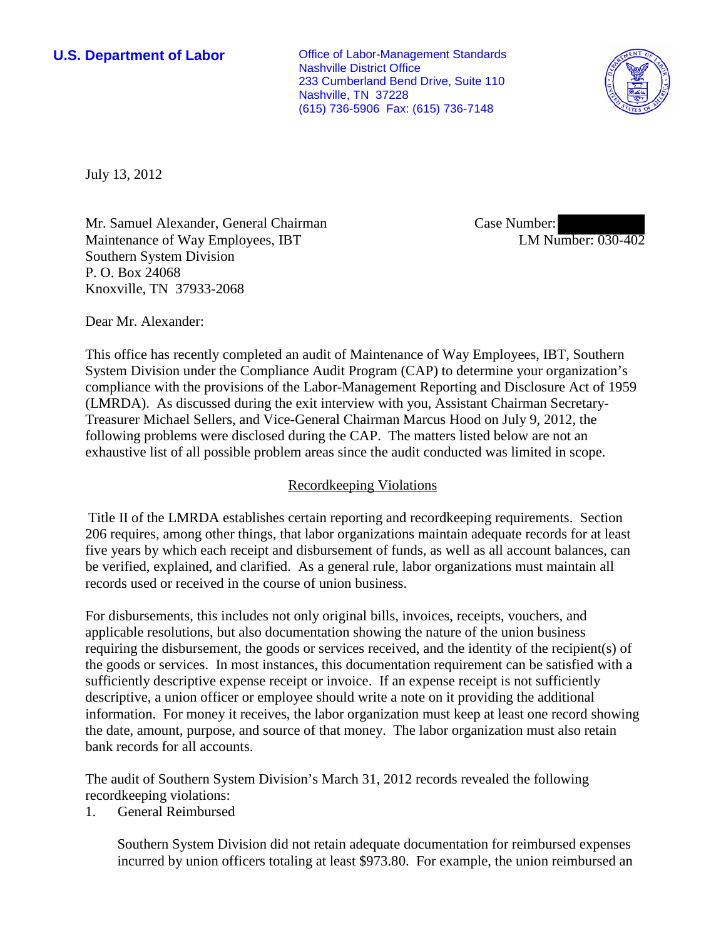**U.S. Department of Labor Office of Labor-Management Standards** Nashville District Office 233 Cumberland Bend Drive, Suite 110 Nashville, TN 37228 (615) 736-5906 Fax: (615) 736-7148



July 13, 2012

Mr. Samuel Alexander, General Chairman Maintenance of Way Employees, IBT Southern System Division P. O. Box 24068 Knoxville, TN 37933-2068

Case Number: LM Number: 030-402

Dear Mr. Alexander:

This office has recently completed an audit of Maintenance of Way Employees, IBT, Southern System Division under the Compliance Audit Program (CAP) to determine your organization's compliance with the provisions of the Labor-Management Reporting and Disclosure Act of 1959 (LMRDA). As discussed during the exit interview with you, Assistant Chairman Secretary-Treasurer Michael Sellers, and Vice-General Chairman Marcus Hood on July 9, 2012, the following problems were disclosed during the CAP. The matters listed below are not an exhaustive list of all possible problem areas since the audit conducted was limited in scope.

## Recordkeeping Violations

Title II of the LMRDA establishes certain reporting and recordkeeping requirements. Section 206 requires, among other things, that labor organizations maintain adequate records for at least five years by which each receipt and disbursement of funds, as well as all account balances, can be verified, explained, and clarified. As a general rule, labor organizations must maintain all records used or received in the course of union business.

For disbursements, this includes not only original bills, invoices, receipts, vouchers, and applicable resolutions, but also documentation showing the nature of the union business requiring the disbursement, the goods or services received, and the identity of the recipient(s) of the goods or services. In most instances, this documentation requirement can be satisfied with a sufficiently descriptive expense receipt or invoice. If an expense receipt is not sufficiently descriptive, a union officer or employee should write a note on it providing the additional information. For money it receives, the labor organization must keep at least one record showing the date, amount, purpose, and source of that money. The labor organization must also retain bank records for all accounts.

The audit of Southern System Division's March 31, 2012 records revealed the following recordkeeping violations:

1. General Reimbursed

Southern System Division did not retain adequate documentation for reimbursed expenses incurred by union officers totaling at least \$973.80. For example, the union reimbursed an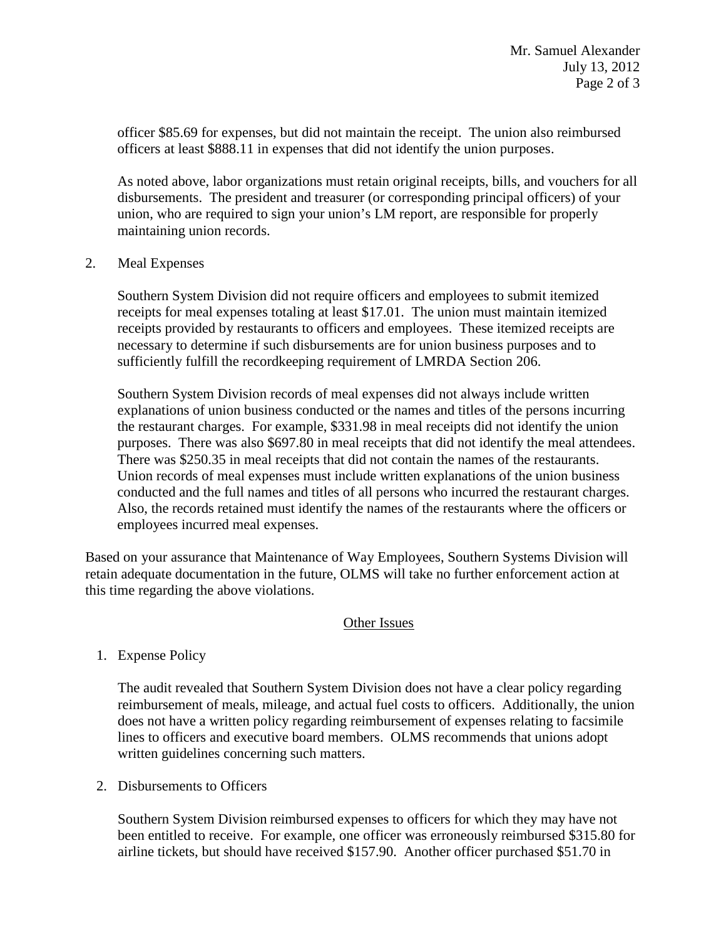officer \$85.69 for expenses, but did not maintain the receipt. The union also reimbursed officers at least \$888.11 in expenses that did not identify the union purposes.

As noted above, labor organizations must retain original receipts, bills, and vouchers for all disbursements. The president and treasurer (or corresponding principal officers) of your union, who are required to sign your union's LM report, are responsible for properly maintaining union records.

## 2. Meal Expenses

Southern System Division did not require officers and employees to submit itemized receipts for meal expenses totaling at least \$17.01. The union must maintain itemized receipts provided by restaurants to officers and employees. These itemized receipts are necessary to determine if such disbursements are for union business purposes and to sufficiently fulfill the recordkeeping requirement of LMRDA Section 206.

Southern System Division records of meal expenses did not always include written explanations of union business conducted or the names and titles of the persons incurring the restaurant charges. For example, \$331.98 in meal receipts did not identify the union purposes. There was also \$697.80 in meal receipts that did not identify the meal attendees. There was \$250.35 in meal receipts that did not contain the names of the restaurants. Union records of meal expenses must include written explanations of the union business conducted and the full names and titles of all persons who incurred the restaurant charges. Also, the records retained must identify the names of the restaurants where the officers or employees incurred meal expenses.

Based on your assurance that Maintenance of Way Employees, Southern Systems Division will retain adequate documentation in the future, OLMS will take no further enforcement action at this time regarding the above violations.

## Other Issues

## 1. Expense Policy

The audit revealed that Southern System Division does not have a clear policy regarding reimbursement of meals, mileage, and actual fuel costs to officers. Additionally, the union does not have a written policy regarding reimbursement of expenses relating to facsimile lines to officers and executive board members. OLMS recommends that unions adopt written guidelines concerning such matters.

2. Disbursements to Officers

Southern System Division reimbursed expenses to officers for which they may have not been entitled to receive. For example, one officer was erroneously reimbursed \$315.80 for airline tickets, but should have received \$157.90. Another officer purchased \$51.70 in